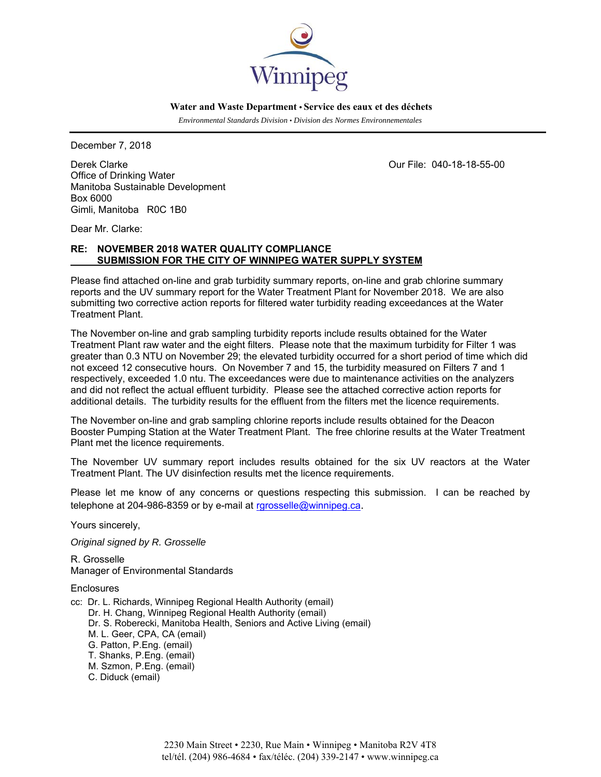

 **Water and Waste Department • Service des eaux et des déchets**

 *Environmental Standards Division • Division des Normes Environnementales* 

December 7, 2018

Derek Clarke Our File: 040-18-18-55-00 Office of Drinking Water Manitoba Sustainable Development Box 6000 Gimli, Manitoba R0C 1B0

Dear Mr. Clarke:

# **RE: NOVEMBER 2018 WATER QUALITY COMPLIANCE SUBMISSION FOR THE CITY OF WINNIPEG WATER SUPPLY SYSTEM**

Please find attached on-line and grab turbidity summary reports, on-line and grab chlorine summary reports and the UV summary report for the Water Treatment Plant for November 2018. We are also submitting two corrective action reports for filtered water turbidity reading exceedances at the Water Treatment Plant.

The November on-line and grab sampling turbidity reports include results obtained for the Water Treatment Plant raw water and the eight filters. Please note that the maximum turbidity for Filter 1 was greater than 0.3 NTU on November 29; the elevated turbidity occurred for a short period of time which did not exceed 12 consecutive hours. On November 7 and 15, the turbidity measured on Filters 7 and 1 respectively, exceeded 1.0 ntu. The exceedances were due to maintenance activities on the analyzers and did not reflect the actual effluent turbidity. Please see the attached corrective action reports for additional details. The turbidity results for the effluent from the filters met the licence requirements.

The November on-line and grab sampling chlorine reports include results obtained for the Deacon Booster Pumping Station at the Water Treatment Plant. The free chlorine results at the Water Treatment Plant met the licence requirements.

The November UV summary report includes results obtained for the six UV reactors at the Water Treatment Plant. The UV disinfection results met the licence requirements.

Please let me know of any concerns or questions respecting this submission. I can be reached by telephone at 204-986-8359 or by e-mail at rgrosselle@winnipeg.ca.

Yours sincerely,

*Original signed by R. Grosselle* 

R. Grosselle Manager of Environmental Standards

**Enclosures** 

- cc: Dr. L. Richards, Winnipeg Regional Health Authority (email)
	- Dr. H. Chang, Winnipeg Regional Health Authority (email)
	- Dr. S. Roberecki, Manitoba Health, Seniors and Active Living (email)
	- M. L. Geer, CPA, CA (email)
	- G. Patton, P.Eng. (email)
	- T. Shanks, P.Eng. (email)
	- M. Szmon, P.Eng. (email)
	- C. Diduck (email)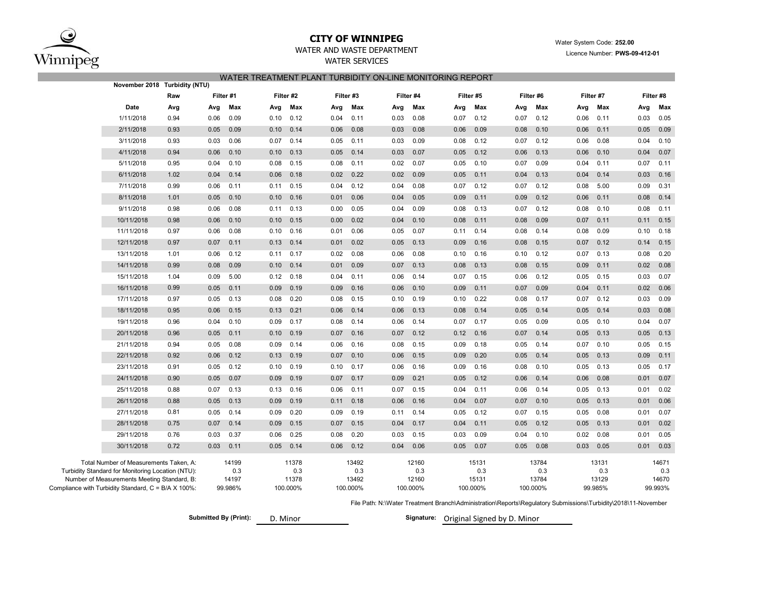

## **CITY OF WINNIPEG**WATER AND WASTE DEPARTMENT

## Water System Code: **252.00** Licence Number: **PWS-09-412-01**

# WATER SERVICES WATER TREATMENT PLANT TURBIDITY ON-LINE MONITORING REPORT

|                                                   | November 2018 Turbidity (NTU)                                                                      |      |      |                  |      |                   |      |                   |      |                   |                                                                                                                 |                   |      |                   |      |                  |      |                  |  |  |  |  |  |
|---------------------------------------------------|----------------------------------------------------------------------------------------------------|------|------|------------------|------|-------------------|------|-------------------|------|-------------------|-----------------------------------------------------------------------------------------------------------------|-------------------|------|-------------------|------|------------------|------|------------------|--|--|--|--|--|
|                                                   | Raw                                                                                                |      |      | Filter #1        |      | Filter #2         |      | Filter #3         |      | Filter #4         |                                                                                                                 | Filter #5         |      | Filter #6         |      | Filter #7        |      | Filter #8        |  |  |  |  |  |
|                                                   | Date                                                                                               | Avg  | Avg  | Max              | Avg  | Max               | Avg  | Max               | Avg  | Max               | Avg                                                                                                             | Max               | Avg  | Max               | Avg  | Max              | Avg  | Max              |  |  |  |  |  |
|                                                   | 1/11/2018                                                                                          | 0.94 | 0.06 | 0.09             | 0.10 | 0.12              | 0.04 | 0.11              | 0.03 | 0.08              | 0.07                                                                                                            | 0.12              | 0.07 | 0.12              | 0.06 | 0.11             | 0.03 | 0.05             |  |  |  |  |  |
|                                                   | 2/11/2018                                                                                          | 0.93 | 0.05 | 0.09             | 0.10 | 0.14              | 0.06 | 0.08              | 0.03 | 0.08              | 0.06                                                                                                            | 0.09              | 0.08 | 0.10              | 0.06 | 0.11             | 0.05 | 0.09             |  |  |  |  |  |
|                                                   | 3/11/2018                                                                                          | 0.93 | 0.03 | 0.06             | 0.07 | 0.14              | 0.05 | 0.11              | 0.03 | 0.09              | 0.08                                                                                                            | 0.12              | 0.07 | 0.12              | 0.06 | 0.08             | 0.04 | 0.10             |  |  |  |  |  |
|                                                   | 4/11/2018                                                                                          | 0.94 | 0.06 | 0.10             | 0.10 | 0.13              | 0.05 | 0.14              | 0.03 | 0.07              | 0.05                                                                                                            | 0.12              | 0.06 | 0.13              | 0.06 | 0.10             | 0.04 | 0.07             |  |  |  |  |  |
|                                                   | 5/11/2018                                                                                          | 0.95 | 0.04 | 0.10             | 0.08 | 0.15              | 0.08 | 0.11              | 0.02 | 0.07              | 0.05                                                                                                            | 0.10              | 0.07 | 0.09              | 0.04 | 0.11             | 0.07 | 0.11             |  |  |  |  |  |
|                                                   | 6/11/2018                                                                                          | 1.02 | 0.04 | 0.14             | 0.06 | 0.18              | 0.02 | 0.22              | 0.02 | 0.09              | 0.05                                                                                                            | 0.11              | 0.04 | 0.13              | 0.04 | 0.14             | 0.03 | 0.16             |  |  |  |  |  |
|                                                   | 7/11/2018                                                                                          | 0.99 | 0.06 | 0.11             | 0.11 | 0.15              | 0.04 | 0.12              | 0.04 | 0.08              | 0.07                                                                                                            | 0.12              | 0.07 | 0.12              | 0.08 | 5.00             | 0.09 | 0.31             |  |  |  |  |  |
|                                                   | 8/11/2018                                                                                          | 1.01 | 0.05 | 0.10             | 0.10 | 0.16              | 0.01 | 0.06              | 0.04 | 0.05              | 0.09                                                                                                            | 0.11              | 0.09 | 0.12              | 0.06 | 0.11             | 0.08 | 0.14             |  |  |  |  |  |
|                                                   | 9/11/2018                                                                                          | 0.98 | 0.06 | 0.08             | 0.11 | 0.13              | 0.00 | 0.05              | 0.04 | 0.09              | 0.08                                                                                                            | 0.13              | 0.07 | 0.12              | 0.08 | 0.10             | 0.08 | 0.11             |  |  |  |  |  |
|                                                   | 10/11/2018                                                                                         | 0.98 | 0.06 | 0.10             | 0.10 | 0.15              | 0.00 | 0.02              | 0.04 | 0.10              | 0.08                                                                                                            | 0.11              | 0.08 | 0.09              | 0.07 | 0.11             | 0.11 | 0.15             |  |  |  |  |  |
|                                                   | 11/11/2018                                                                                         | 0.97 | 0.06 | 0.08             | 0.10 | 0.16              | 0.01 | 0.06              | 0.05 | 0.07              | 0.11                                                                                                            | 0.14              | 0.08 | 0.14              | 0.08 | 0.09             | 0.10 | 0.18             |  |  |  |  |  |
|                                                   | 12/11/2018                                                                                         | 0.97 | 0.07 | 0.11             | 0.13 | 0.14              | 0.01 | 0.02              | 0.05 | 0.13              | 0.09                                                                                                            | 0.16              | 0.08 | 0.15              | 0.07 | 0.12             | 0.14 | 0.15             |  |  |  |  |  |
|                                                   | 13/11/2018                                                                                         | 1.01 | 0.06 | 0.12             | 0.11 | 0.17              | 0.02 | 0.08              | 0.06 | 0.08              | 0.10                                                                                                            | 0.16              | 0.10 | 0.12              | 0.07 | 0.13             | 0.08 | 0.20             |  |  |  |  |  |
|                                                   | 14/11/2018                                                                                         | 0.99 | 0.08 | 0.09             | 0.10 | 0.14              | 0.01 | 0.09              | 0.07 | 0.13              | 0.08                                                                                                            | 0.13              | 0.08 | 0.15              | 0.09 | 0.11             | 0.02 | 0.08             |  |  |  |  |  |
|                                                   | 15/11/2018                                                                                         | 1.04 | 0.09 | 5.00             | 0.12 | 0.18              | 0.04 | 0.11              | 0.06 | 0.14              | 0.07                                                                                                            | 0.15              | 0.06 | 0.12              | 0.05 | 0.15             | 0.03 | 0.07             |  |  |  |  |  |
|                                                   | 16/11/2018                                                                                         | 0.99 | 0.05 | 0.11             | 0.09 | 0.19              | 0.09 | 0.16              | 0.06 | 0.10              | 0.09                                                                                                            | 0.11              | 0.07 | 0.09              | 0.04 | 0.11             | 0.02 | 0.06             |  |  |  |  |  |
|                                                   | 17/11/2018                                                                                         | 0.97 | 0.05 | 0.13             | 0.08 | 0.20              | 0.08 | 0.15              | 0.10 | 0.19              | 0.10                                                                                                            | 0.22              | 0.08 | 0.17              | 0.07 | 0.12             | 0.03 | 0.09             |  |  |  |  |  |
|                                                   | 18/11/2018                                                                                         | 0.95 | 0.06 | 0.15             | 0.13 | 0.21              | 0.06 | 0.14              | 0.06 | 0.13              | 0.08                                                                                                            | 0.14              | 0.05 | 0.14              | 0.05 | 0.14             | 0.03 | 0.08             |  |  |  |  |  |
|                                                   | 19/11/2018                                                                                         | 0.96 | 0.04 | 0.10             | 0.09 | 0.17              | 0.08 | 0.14              | 0.06 | 0.14              | 0.07                                                                                                            | 0.17              | 0.05 | 0.09              | 0.05 | 0.10             | 0.04 | 0.07             |  |  |  |  |  |
|                                                   | 20/11/2018                                                                                         | 0.96 | 0.05 | 0.11             | 0.10 | 0.19              | 0.07 | 0.16              | 0.07 | 0.12              | 0.12                                                                                                            | 0.16              | 0.07 | 0.14              | 0.05 | 0.13             | 0.05 | 0.13             |  |  |  |  |  |
|                                                   | 21/11/2018                                                                                         | 0.94 | 0.05 | 0.08             | 0.09 | 0.14              | 0.06 | 0.16              | 0.08 | 0.15              | 0.09                                                                                                            | 0.18              | 0.05 | 0.14              | 0.07 | 0.10             | 0.05 | 0.15             |  |  |  |  |  |
|                                                   | 22/11/2018                                                                                         | 0.92 | 0.06 | 0.12             | 0.13 | 0.19              | 0.07 | 0.10              | 0.06 | 0.15              | 0.09                                                                                                            | 0.20              | 0.05 | 0.14              | 0.05 | 0.13             | 0.09 | 0.11             |  |  |  |  |  |
|                                                   | 23/11/2018                                                                                         | 0.91 | 0.05 | 0.12             | 0.10 | 0.19              | 0.10 | 0.17              | 0.06 | 0.16              | 0.09                                                                                                            | 0.16              | 0.08 | 0.10              | 0.05 | 0.13             | 0.05 | 0.17             |  |  |  |  |  |
|                                                   | 24/11/2018                                                                                         | 0.90 | 0.05 | 0.07             | 0.09 | 0.19              | 0.07 | 0.17              | 0.09 | 0.21              | 0.05                                                                                                            | 0.12              | 0.06 | 0.14              | 0.06 | 0.08             | 0.01 | 0.07             |  |  |  |  |  |
|                                                   | 25/11/2018                                                                                         | 0.88 | 0.07 | 0.13             | 0.13 | 0.16              | 0.06 | 0.11              | 0.07 | 0.15              | 0.04                                                                                                            | 0.11              | 0.06 | 0.14              | 0.05 | 0.13             | 0.01 | 0.02             |  |  |  |  |  |
|                                                   | 26/11/2018                                                                                         | 0.88 | 0.05 | 0.13             | 0.09 | 0.19              | 0.11 | 0.18              | 0.06 | 0.16              | 0.04                                                                                                            | 0.07              | 0.07 | 0.10              | 0.05 | 0.13             | 0.01 | 0.06             |  |  |  |  |  |
|                                                   | 27/11/2018                                                                                         | 0.81 | 0.05 | 0.14             | 0.09 | 0.20              | 0.09 | 0.19              | 0.11 | 0.14              | 0.05                                                                                                            | 0.12              | 0.07 | 0.15              | 0.05 | 0.08             | 0.01 | 0.07             |  |  |  |  |  |
|                                                   | 28/11/2018                                                                                         | 0.75 | 0.07 | 0.14             | 0.09 | 0.15              | 0.07 | 0.15              | 0.04 | 0.17              | 0.04                                                                                                            | 0.11              | 0.05 | 0.12              | 0.05 | 0.13             | 0.01 | 0.02             |  |  |  |  |  |
|                                                   | 29/11/2018                                                                                         | 0.76 | 0.03 | 0.37             | 0.06 | 0.25              | 0.08 | 0.20              | 0.03 | 0.15              | 0.03                                                                                                            | 0.09              | 0.04 | 0.10              | 0.02 | 0.08             | 0.01 | 0.05             |  |  |  |  |  |
|                                                   | 30/11/2018                                                                                         | 0.72 | 0.03 | 0.11             | 0.05 | 0.14              | 0.06 | 0.12              | 0.04 | 0.06              | 0.05                                                                                                            | 0.07              | 0.05 | 0.08              | 0.03 | 0.05             | 0.01 | 0.03             |  |  |  |  |  |
|                                                   | Total Number of Measurements Taken, A:                                                             |      |      | 14199            |      | 11378             |      | 13492             |      | 12160             |                                                                                                                 | 15131             |      | 13784             |      | 13131            |      | 14671            |  |  |  |  |  |
| Turbidity Standard for Monitoring Location (NTU): |                                                                                                    |      |      | 0.3              |      | 0.3               |      | 0.3               |      | 0.3               |                                                                                                                 | 0.3               |      | 0.3               |      | 0.3              |      | 0.3              |  |  |  |  |  |
|                                                   | Number of Measurements Meeting Standard, B:<br>Compliance with Turbidity Standard, C = B/A X 100%: |      |      | 14197<br>99.986% |      | 11378<br>100.000% |      | 13492<br>100.000% |      | 12160<br>100.000% |                                                                                                                 | 15131<br>100.000% |      | 13784<br>100.000% |      | 13129<br>99.985% |      | 14670<br>99.993% |  |  |  |  |  |
|                                                   |                                                                                                    |      |      |                  |      |                   |      |                   |      |                   | File Dethy NUMeter Treatment Praneh! Administration Departed Demulatory Cubmingianal Turbidit 40040144 November |                   |      |                   |      |                  |      |                  |  |  |  |  |  |
|                                                   |                                                                                                    |      |      |                  |      |                   |      |                   |      |                   |                                                                                                                 |                   |      |                   |      |                  |      |                  |  |  |  |  |  |

File Path: N:\Water Treatment Branch\Administration\Reports\Regulatory Submissions\Turbidity\2018\11-November

**Submitted By (Print): Signature:** D. Minor Original Signed by D. Minor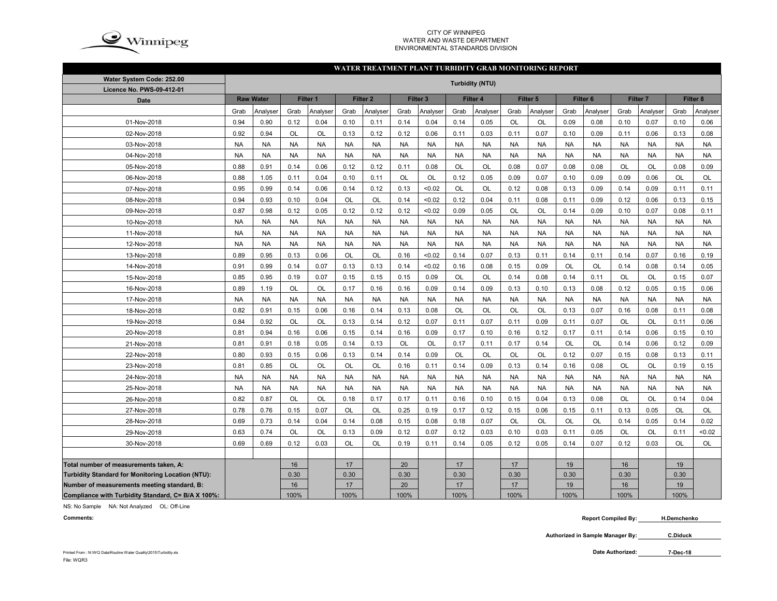

## CITY OF WINNIPEG WATER AND WASTE DEPARTMENTENVIRONMENTAL STANDARDS DIVISION

## **WATER TREATMENT PLANT TURBIDITY GRAB MONITORING REPORT**

| Water System Code: 252.00                          | <b>Turbidity (NTU)</b> |                  |           |           |           |                     |           |                     |           |           |           |           |                     |           |           |           |           |           |
|----------------------------------------------------|------------------------|------------------|-----------|-----------|-----------|---------------------|-----------|---------------------|-----------|-----------|-----------|-----------|---------------------|-----------|-----------|-----------|-----------|-----------|
| Licence No. PWS-09-412-01                          |                        |                  |           |           |           |                     |           |                     |           |           |           |           |                     |           |           |           |           |           |
| <b>Date</b>                                        |                        | <b>Raw Water</b> |           | Filter 1  |           | Filter <sub>2</sub> |           | Filter <sub>3</sub> |           | Filter 4  |           | Filter 5  | Filter <sub>6</sub> |           | Filter 7  |           | Filter 8  |           |
|                                                    | Grab                   | Analyser         | Grab      | Analyser  | Grab      | Analyser            | Grab      | Analyser            | Grab      | Analyser  | Grab      | Analyser  | Grab                | Analyser  | Grab      | Analyser  | Grab      | Analyser  |
| 01-Nov-2018                                        | 0.94                   | 0.90             | 0.12      | 0.04      | 0.10      | 0.11                | 0.14      | 0.04                | 0.14      | 0.05      | OL        | OL        | 0.09                | 0.08      | 0.10      | 0.07      | 0.10      | 0.06      |
| 02-Nov-2018                                        | 0.92                   | 0.94             | OL        | OL        | 0.13      | 0.12                | 0.12      | 0.06                | 0.11      | 0.03      | 0.11      | 0.07      | 0.10                | 0.09      | 0.11      | 0.06      | 0.13      | 0.08      |
| 03-Nov-2018                                        | <b>NA</b>              | <b>NA</b>        | <b>NA</b> | <b>NA</b> | <b>NA</b> | <b>NA</b>           | <b>NA</b> | <b>NA</b>           | <b>NA</b> | <b>NA</b> | <b>NA</b> | <b>NA</b> | <b>NA</b>           | <b>NA</b> | <b>NA</b> | <b>NA</b> | <b>NA</b> | <b>NA</b> |
| 04-Nov-2018                                        | <b>NA</b>              | <b>NA</b>        | <b>NA</b> | <b>NA</b> | <b>NA</b> | <b>NA</b>           | <b>NA</b> | <b>NA</b>           | <b>NA</b> | <b>NA</b> | <b>NA</b> | <b>NA</b> | <b>NA</b>           | <b>NA</b> | <b>NA</b> | <b>NA</b> | <b>NA</b> | <b>NA</b> |
| 05-Nov-2018                                        | 0.88                   | 0.91             | 0.14      | 0.06      | 0.12      | 0.12                | 0.11      | 0.08                | <b>OL</b> | OL        | 0.08      | 0.07      | 0.08                | 0.08      | OL        | <b>OL</b> | 0.08      | 0.09      |
| 06-Nov-2018                                        | 0.88                   | 1.05             | 0.11      | 0.04      | 0.10      | 0.11                | OL        | OL                  | 0.12      | 0.05      | 0.09      | 0.07      | 0.10                | 0.09      | 0.09      | 0.06      | OL        | OL        |
| 07-Nov-2018                                        | 0.95                   | 0.99             | 0.14      | 0.06      | 0.14      | 0.12                | 0.13      | < 0.02              | OL        | OL        | 0.12      | 0.08      | 0.13                | 0.09      | 0.14      | 0.09      | 0.11      | 0.11      |
| 08-Nov-2018                                        | 0.94                   | 0.93             | 0.10      | 0.04      | OL        | <b>OL</b>           | 0.14      | < 0.02              | 0.12      | 0.04      | 0.11      | 0.08      | 0.11                | 0.09      | 0.12      | 0.06      | 0.13      | 0.15      |
| 09-Nov-2018                                        | 0.87                   | 0.98             | 0.12      | 0.05      | 0.12      | 0.12                | 0.12      | < 0.02              | 0.09      | 0.05      | OL        | OL        | 0.14                | 0.09      | 0.10      | 0.07      | 0.08      | 0.11      |
| 10-Nov-2018                                        | <b>NA</b>              | <b>NA</b>        | <b>NA</b> | <b>NA</b> | <b>NA</b> | <b>NA</b>           | <b>NA</b> | <b>NA</b>           | <b>NA</b> | <b>NA</b> | <b>NA</b> | <b>NA</b> | <b>NA</b>           | <b>NA</b> | <b>NA</b> | <b>NA</b> | <b>NA</b> | <b>NA</b> |
| 11-Nov-2018                                        | <b>NA</b>              | <b>NA</b>        | <b>NA</b> | <b>NA</b> | <b>NA</b> | <b>NA</b>           | <b>NA</b> | <b>NA</b>           | <b>NA</b> | <b>NA</b> | <b>NA</b> | <b>NA</b> | <b>NA</b>           | <b>NA</b> | <b>NA</b> | <b>NA</b> | <b>NA</b> | <b>NA</b> |
| 12-Nov-2018                                        | <b>NA</b>              | <b>NA</b>        | <b>NA</b> | <b>NA</b> | <b>NA</b> | <b>NA</b>           | <b>NA</b> | <b>NA</b>           | <b>NA</b> | <b>NA</b> | <b>NA</b> | <b>NA</b> | <b>NA</b>           | <b>NA</b> | <b>NA</b> | <b>NA</b> | <b>NA</b> | <b>NA</b> |
| 13-Nov-2018                                        | 0.89                   | 0.95             | 0.13      | 0.06      | OL        | OL                  | 0.16      | < 0.02              | 0.14      | 0.07      | 0.13      | 0.11      | 0.14                | 0.11      | 0.14      | 0.07      | 0.16      | 0.19      |
| 14-Nov-2018                                        | 0.91                   | 0.99             | 0.14      | 0.07      | 0.13      | 0.13                | 0.14      | < 0.02              | 0.16      | 0.08      | 0.15      | 0.09      | OL                  | <b>OL</b> | 0.14      | 0.08      | 0.14      | 0.05      |
| 15-Nov-2018                                        | 0.85                   | 0.95             | 0.19      | 0.07      | 0.15      | 0.15                | 0.15      | 0.09                | OL        | OL        | 0.14      | 0.08      | 0.14                | 0.11      | OL        | OL        | 0.15      | 0.07      |
| 16-Nov-2018                                        | 0.89                   | 1.19             | OL        | OL        | 0.17      | 0.16                | 0.16      | 0.09                | 0.14      | 0.09      | 0.13      | 0.10      | 0.13                | 0.08      | 0.12      | 0.05      | 0.15      | 0.06      |
| 17-Nov-2018                                        | <b>NA</b>              | <b>NA</b>        | <b>NA</b> | <b>NA</b> | <b>NA</b> | <b>NA</b>           | <b>NA</b> | <b>NA</b>           | <b>NA</b> | <b>NA</b> | <b>NA</b> | <b>NA</b> | <b>NA</b>           | <b>NA</b> | <b>NA</b> | <b>NA</b> | <b>NA</b> | <b>NA</b> |
| 18-Nov-2018                                        | 0.82                   | 0.91             | 0.15      | 0.06      | 0.16      | 0.14                | 0.13      | 0.08                | OL        | OL        | OL        | OL        | 0.13                | 0.07      | 0.16      | 0.08      | 0.11      | 0.08      |
| 19-Nov-2018                                        | 0.84                   | 0.92             | OL        | <b>OL</b> | 0.13      | 0.14                | 0.12      | 0.07                | 0.11      | 0.07      | 0.11      | 0.09      | 0.11                | 0.07      | <b>OL</b> | <b>OL</b> | 0.11      | 0.06      |
| 20-Nov-2018                                        | 0.81                   | 0.94             | 0.16      | 0.06      | 0.15      | 0.14                | 0.16      | 0.09                | 0.17      | 0.10      | 0.16      | 0.12      | 0.17                | 0.11      | 0.14      | 0.06      | 0.15      | 0.10      |
| 21-Nov-2018                                        | 0.81                   | 0.91             | 0.18      | 0.05      | 0.14      | 0.13                | OL        | OL                  | 0.17      | 0.11      | 0.17      | 0.14      | OL                  | <b>OL</b> | 0.14      | 0.06      | 0.12      | 0.09      |
| 22-Nov-2018                                        | 0.80                   | 0.93             | 0.15      | 0.06      | 0.13      | 0.14                | 0.14      | 0.09                | <b>OL</b> | <b>OL</b> | <b>OL</b> | OL        | 0.12                | 0.07      | 0.15      | 0.08      | 0.13      | 0.11      |
| 23-Nov-2018                                        | 0.81                   | 0.85             | OL        | <b>OL</b> | <b>OL</b> | OL                  | 0.16      | 0.11                | 0.14      | 0.09      | 0.13      | 0.14      | 0.16                | 0.08      | OL        | <b>OL</b> | 0.19      | 0.15      |
| 24-Nov-2018                                        | <b>NA</b>              | <b>NA</b>        | <b>NA</b> | <b>NA</b> | <b>NA</b> | <b>NA</b>           | <b>NA</b> | <b>NA</b>           | <b>NA</b> | <b>NA</b> | <b>NA</b> | <b>NA</b> | <b>NA</b>           | <b>NA</b> | <b>NA</b> | <b>NA</b> | <b>NA</b> | <b>NA</b> |
| 25-Nov-2018                                        | <b>NA</b>              | <b>NA</b>        | <b>NA</b> | <b>NA</b> | <b>NA</b> | <b>NA</b>           | <b>NA</b> | <b>NA</b>           | <b>NA</b> | <b>NA</b> | <b>NA</b> | <b>NA</b> | <b>NA</b>           | <b>NA</b> | <b>NA</b> | <b>NA</b> | <b>NA</b> | <b>NA</b> |
| 26-Nov-2018                                        | 0.82                   | 0.87             | OL        | OL        | 0.18      | 0.17                | 0.17      | 0.11                | 0.16      | 0.10      | 0.15      | 0.04      | 0.13                | 0.08      | OL        | <b>OL</b> | 0.14      | 0.04      |
| 27-Nov-2018                                        | 0.78                   | 0.76             | 0.15      | 0.07      | OL        | <b>OL</b>           | 0.25      | 0.19                | 0.17      | 0.12      | 0.15      | 0.06      | 0.15                | 0.11      | 0.13      | 0.05      | OL        | OL        |
| 28-Nov-2018                                        | 0.69                   | 0.73             | 0.14      | 0.04      | 0.14      | 0.08                | 0.15      | 0.08                | 0.18      | 0.07      | <b>OL</b> | OL        | <b>OL</b>           | <b>OL</b> | 0.14      | 0.05      | 0.14      | 0.02      |
| 29-Nov-2018                                        | 0.63                   | 0.74             | OL        | <b>OL</b> | 0.13      | 0.09                | 0.12      | 0.07                | 0.12      | 0.03      | 0.10      | 0.03      | 0.11                | 0.05      | OL        | OL        | 0.11      | < 0.02    |
| 30-Nov-2018                                        | 0.69                   | 0.69             | 0.12      | 0.03      | <b>OL</b> | <b>OL</b>           | 0.19      | 0.11                | 0.14      | 0.05      | 0.12      | 0.05      | 0.14                | 0.07      | 0.12      | 0.03      | <b>OL</b> | <b>OL</b> |
|                                                    |                        |                  |           |           |           |                     |           |                     |           |           |           |           |                     |           |           |           |           |           |
| Total number of measurements taken, A:             |                        |                  | 16        |           | 17        |                     | 20        |                     | 17        |           | 17        |           | 19                  |           | 16        |           | 19        |           |
| Turbidity Standard for Monitoring Location (NTU):  |                        |                  | 0.30      |           | 0.30      |                     | 0.30      |                     | 0.30      |           | 0.30      |           | 0.30                |           | 0.30      |           | 0.30      |           |
| Number of measurements meeting standard, B:        |                        |                  | 16        |           | 17        |                     | 20        |                     | 17        |           | 17        |           | 19                  |           | 16        |           | 19        |           |
| Compliance with Turbidity Standard, C= B/A X 100%: |                        |                  | 100%      |           | 100%      |                     | 100%      |                     | 100%      |           | 100%      |           | 100%                |           | 100%      |           | 100%      |           |

NS: No Sample NA: Not Analyzed OL: Off-Line

**Comments:**

 **Report Compiled By: H.Demchenko**

**Authorized in Sample Manager By: C.Diduck**

**7-Dec-18**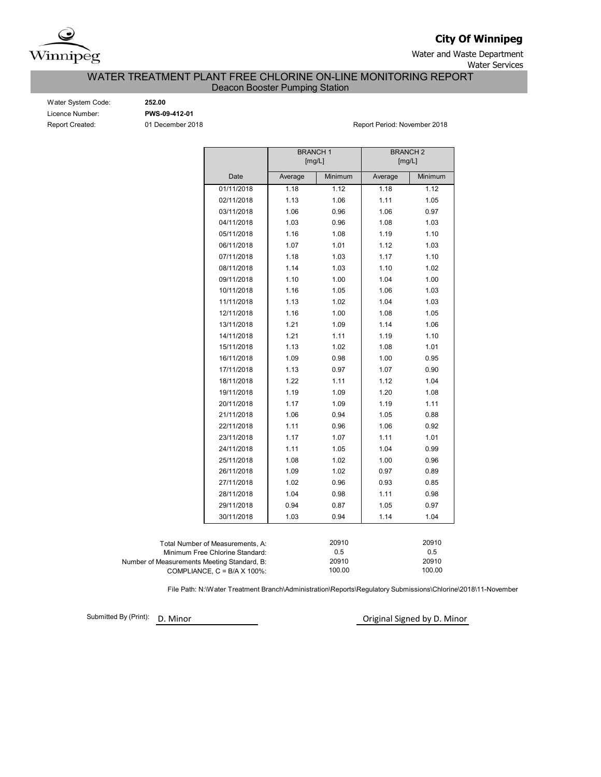

**City Of Winnipeg**

Water and Waste Department

Water Services

# WATER TREATMENT PLANT FREE CHLORINE ON-LINE MONITORING REPORT

Deacon Booster Pumping Station

| Water System Code: |
|--------------------|
| Licence Number:    |
| Report Created:    |

Water System Code: **252.00** Licence Number: **PWS-09-412-01**

01 December 2018 **Report Period: November 2018** 

|                                             |                                      | <b>BRANCH1</b><br>[mg/L] |              | <b>BRANCH2</b><br>[mg/L] |              |  |  |  |
|---------------------------------------------|--------------------------------------|--------------------------|--------------|--------------------------|--------------|--|--|--|
|                                             |                                      |                          |              |                          |              |  |  |  |
|                                             | Date                                 | Average                  | Minimum      | Average                  | Minimum      |  |  |  |
|                                             | 01/11/2018                           | 1.18                     | 1.12         | 1.18                     | 1.12         |  |  |  |
|                                             | 02/11/2018                           | 1.13                     | 1.06         | 1.11                     | 1.05         |  |  |  |
|                                             | 03/11/2018                           | 1.06                     | 0.96         | 1.06                     | 0.97         |  |  |  |
|                                             | 04/11/2018                           | 1.03                     | 0.96         | 1.08                     | 1.03         |  |  |  |
|                                             | 05/11/2018                           | 1.16                     | 1.08         | 1.19                     | 1.10         |  |  |  |
|                                             | 06/11/2018                           | 1.07                     | 1.01         | 1.12                     | 1.03         |  |  |  |
|                                             | 07/11/2018                           | 1.18                     | 1.03         | 1.17                     | 1.10         |  |  |  |
|                                             | 08/11/2018                           | 1.14                     | 1.03         | 1.10                     | 1.02         |  |  |  |
|                                             | 09/11/2018                           | 1.10                     | 1.00         | 1.04                     | 1.00         |  |  |  |
|                                             | 10/11/2018                           | 1.16                     | 1.05         | 1.06                     | 1.03         |  |  |  |
|                                             | 11/11/2018                           | 1.13                     | 1.02         | 1.04                     | 1.03         |  |  |  |
|                                             | 12/11/2018                           | 1.16                     | 1.00         | 1.08                     | 1.05         |  |  |  |
|                                             | 13/11/2018                           | 1.21                     | 1.09         | 1.14                     | 1.06         |  |  |  |
|                                             | 14/11/2018                           | 1.21                     | 1.11         | 1.19                     | 1.10         |  |  |  |
|                                             | 15/11/2018                           | 1.13                     | 1.02         | 1.08                     | 1.01         |  |  |  |
|                                             | 16/11/2018                           | 1.09                     | 0.98         | 1.00                     | 0.95         |  |  |  |
|                                             | 17/11/2018                           | 1.13                     | 0.97         | 1.07                     | 0.90         |  |  |  |
|                                             | 18/11/2018                           | 1.22                     | 1.11         | 1.12                     | 1.04         |  |  |  |
|                                             | 19/11/2018                           | 1.19                     | 1.09         | 1.20                     | 1.08         |  |  |  |
|                                             | 20/11/2018                           | 1.17                     | 1.09         | 1.19                     | 1.11         |  |  |  |
|                                             | 21/11/2018                           | 1.06                     | 0.94         | 1.05                     | 0.88         |  |  |  |
|                                             | 22/11/2018                           | 1.11                     | 0.96         | 1.06                     | 0.92         |  |  |  |
|                                             | 23/11/2018                           | 1.17                     | 1.07         | 1.11                     | 1.01         |  |  |  |
|                                             | 24/11/2018                           | 1.11                     | 1.05         | 1.04                     | 0.99         |  |  |  |
|                                             | 25/11/2018                           | 1.08                     | 1.02         | 1.00                     | 0.96         |  |  |  |
|                                             | 26/11/2018                           | 1.09                     | 1.02         | 0.97                     | 0.89         |  |  |  |
|                                             | 27/11/2018                           | 1.02                     | 0.96         | 0.93                     | 0.85         |  |  |  |
|                                             | 28/11/2018                           | 1.04                     | 0.98         | 1.11                     | 0.98         |  |  |  |
|                                             | 29/11/2018                           | 0.94                     | 0.87         | 1.05                     | 0.97         |  |  |  |
|                                             | 30/11/2018                           | 1.03                     | 0.94         | 1.14                     | 1.04         |  |  |  |
|                                             |                                      |                          |              |                          |              |  |  |  |
|                                             | Total Number of Measurements, A:     |                          | 20910        |                          | 20910        |  |  |  |
|                                             | Minimum Free Chlorine Standard:      |                          | 0.5<br>20910 |                          | 0.5<br>20910 |  |  |  |
| Number of Measurements Meeting Standard, B: | COMPLIANCE, $C = B/A \times 100\%$ : |                          | 100.00       |                          | 100.00       |  |  |  |

File Path: N:\Water Treatment Branch\Administration\Reports\Regulatory Submissions\Chlorine\2018\11-November

Submitted By (Print): D. Minor

Original Signed by D. Minor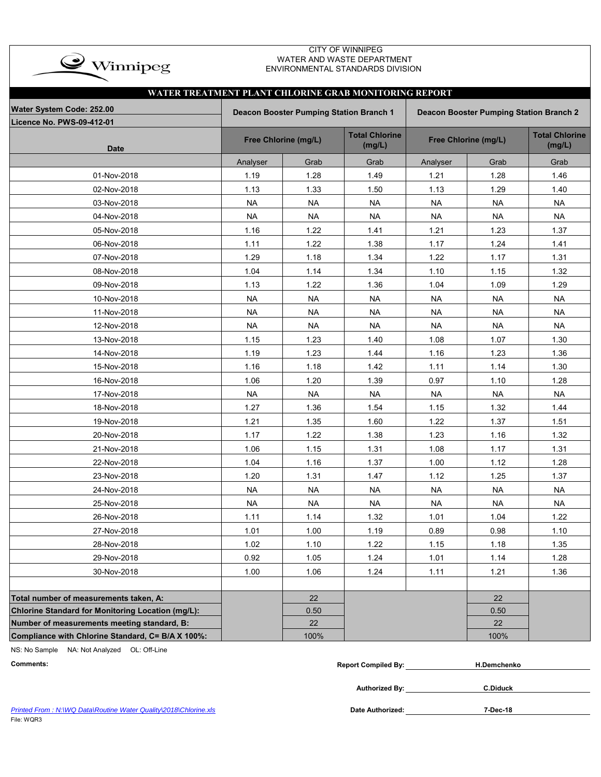| $\bullet$ Winnipeg |
|--------------------|
|                    |

## CITY OF WINNIPEG WATER AND WASTE DEPARTMENT ENVIRONMENTAL STANDARDS DIVISION

|                                                   | WATER TREATMENT PLANT CHLORINE GRAB MONITORING REPORT                                     |                      |                       |                       |           |           |  |  |  |  |  |  |
|---------------------------------------------------|-------------------------------------------------------------------------------------------|----------------------|-----------------------|-----------------------|-----------|-----------|--|--|--|--|--|--|
| Water System Code: 252.00                         | Deacon Booster Pumping Station Branch 1<br><b>Deacon Booster Pumping Station Branch 2</b> |                      |                       |                       |           |           |  |  |  |  |  |  |
| Licence No. PWS-09-412-01                         |                                                                                           |                      | <b>Total Chlorine</b> | <b>Total Chlorine</b> |           |           |  |  |  |  |  |  |
| <b>Date</b>                                       |                                                                                           | Free Chlorine (mg/L) | (mg/L)                | Free Chlorine (mg/L)  | (mg/L)    |           |  |  |  |  |  |  |
|                                                   | Analyser                                                                                  | Grab                 | Grab                  | Analyser              | Grab      | Grab      |  |  |  |  |  |  |
| 01-Nov-2018                                       | 1.19                                                                                      | 1.28                 | 1.49                  | 1.21                  | 1.28      | 1.46      |  |  |  |  |  |  |
| 02-Nov-2018                                       | 1.13                                                                                      | 1.33                 | 1.50                  | 1.13                  | 1.29      | 1.40      |  |  |  |  |  |  |
| 03-Nov-2018                                       | <b>NA</b>                                                                                 | <b>NA</b>            | <b>NA</b>             | <b>NA</b>             | <b>NA</b> | <b>NA</b> |  |  |  |  |  |  |
| 04-Nov-2018                                       | <b>NA</b>                                                                                 | <b>NA</b>            | <b>NA</b>             | <b>NA</b>             | <b>NA</b> | <b>NA</b> |  |  |  |  |  |  |
| 05-Nov-2018                                       | 1.16                                                                                      | 1.22                 | 1.41                  | 1.21                  | 1.23      | 1.37      |  |  |  |  |  |  |
| 06-Nov-2018                                       | 1.11                                                                                      | 1.22                 | 1.38                  | 1.17                  | 1.24      | 1.41      |  |  |  |  |  |  |
| 07-Nov-2018                                       | 1.29                                                                                      | 1.18                 | 1.34                  | 1.22                  | 1.17      | 1.31      |  |  |  |  |  |  |
| 08-Nov-2018                                       | 1.04                                                                                      | 1.14                 | 1.34                  | 1.10                  | 1.15      | 1.32      |  |  |  |  |  |  |
| 09-Nov-2018                                       | 1.13                                                                                      | 1.22                 | 1.36                  | 1.04                  | 1.09      | 1.29      |  |  |  |  |  |  |
| 10-Nov-2018                                       | <b>NA</b>                                                                                 | <b>NA</b>            | <b>NA</b>             | <b>NA</b>             | <b>NA</b> | <b>NA</b> |  |  |  |  |  |  |
| 11-Nov-2018                                       | <b>NA</b>                                                                                 | <b>NA</b>            | <b>NA</b>             | <b>NA</b>             | <b>NA</b> | <b>NA</b> |  |  |  |  |  |  |
| 12-Nov-2018                                       | <b>NA</b>                                                                                 | <b>NA</b>            | <b>NA</b>             | <b>NA</b>             | <b>NA</b> | <b>NA</b> |  |  |  |  |  |  |
| 13-Nov-2018                                       | 1.15                                                                                      | 1.23                 | 1.40                  | 1.08                  | 1.07      | 1.30      |  |  |  |  |  |  |
| 14-Nov-2018                                       | 1.19                                                                                      | 1.23                 | 1.44                  | 1.16                  | 1.23      | 1.36      |  |  |  |  |  |  |
| 15-Nov-2018                                       | 1.16                                                                                      | 1.18                 | 1.42                  | 1.11                  | 1.14      | 1.30      |  |  |  |  |  |  |
| 16-Nov-2018                                       | 1.06                                                                                      | 1.20                 | 1.39                  | 0.97                  | 1.10      | 1.28      |  |  |  |  |  |  |
| 17-Nov-2018                                       | <b>NA</b>                                                                                 | <b>NA</b>            | <b>NA</b>             | <b>NA</b>             | <b>NA</b> | <b>NA</b> |  |  |  |  |  |  |
| 18-Nov-2018                                       | 1.27                                                                                      | 1.36                 | 1.54                  | 1.15                  | 1.32      | 1.44      |  |  |  |  |  |  |
| 19-Nov-2018                                       | 1.21                                                                                      | 1.35                 | 1.60                  | 1.22                  | 1.37      | 1.51      |  |  |  |  |  |  |
| 20-Nov-2018                                       | 1.17                                                                                      | 1.22                 | 1.38                  | 1.23                  | 1.16      | 1.32      |  |  |  |  |  |  |
| 21-Nov-2018                                       | 1.06                                                                                      | 1.15                 | 1.31                  | 1.08                  | 1.17      | 1.31      |  |  |  |  |  |  |
| 22-Nov-2018                                       | 1.04                                                                                      | 1.16                 | 1.37                  | 1.00                  | 1.12      | 1.28      |  |  |  |  |  |  |
| 23-Nov-2018                                       | 1.20                                                                                      | 1.31                 | 1.47                  | 1.12                  | 1.25      | 1.37      |  |  |  |  |  |  |
| 24-Nov-2018                                       | <b>NA</b>                                                                                 | <b>NA</b>            | <b>NA</b>             | <b>NA</b>             | <b>NA</b> | <b>NA</b> |  |  |  |  |  |  |
| 25-Nov-2018                                       | <b>NA</b>                                                                                 | <b>NA</b>            | <b>NA</b>             | <b>NA</b>             | <b>NA</b> | <b>NA</b> |  |  |  |  |  |  |
| 26-Nov-2018                                       | 1.11                                                                                      | 1.14                 | 1.32                  | 1.01                  | 1.04      | 1.22      |  |  |  |  |  |  |
| 27-Nov-2018                                       | 1.01                                                                                      | 1.00                 | 1.19                  | 0.89                  | 0.98      | 1.10      |  |  |  |  |  |  |
| 28-Nov-2018                                       | 1.02                                                                                      | 1.10                 | 1.22                  | 1.15                  | 1.18      | 1.35      |  |  |  |  |  |  |
| 29-Nov-2018                                       | 0.92                                                                                      | 1.05                 | 1.24                  | 1.01                  | 1.14      | 1.28      |  |  |  |  |  |  |
| 30-Nov-2018                                       | 1.00                                                                                      | 1.06                 | 1.24                  | 1.11                  | 1.21      | 1.36      |  |  |  |  |  |  |
|                                                   |                                                                                           |                      |                       |                       |           |           |  |  |  |  |  |  |
| Total number of measurements taken, A:            |                                                                                           | 22                   |                       |                       | 22        |           |  |  |  |  |  |  |
| Chlorine Standard for Monitoring Location (mg/L): |                                                                                           | 0.50                 |                       |                       | 0.50      |           |  |  |  |  |  |  |
| Number of measurements meeting standard, B:       |                                                                                           | 22                   |                       |                       | 22        |           |  |  |  |  |  |  |
| Compliance with Chlorine Standard, C= B/A X 100%: |                                                                                           | 100%                 |                       |                       | 100%      |           |  |  |  |  |  |  |

NS: No Sample NA: Not Analyzed OL: Off-Line

| Comments <sup>.</sup> | Compiled By:<br>Renori | H.Demchenko |  |
|-----------------------|------------------------|-------------|--|
|-----------------------|------------------------|-------------|--|

**Authorized By:**

**C.Diduck**

Printed From : N:\WQ Data\Routine Water Quality\2018\Chlorine.xls **Date Authorized: Date Authorized:** File: WQR3

**7-Dec-18**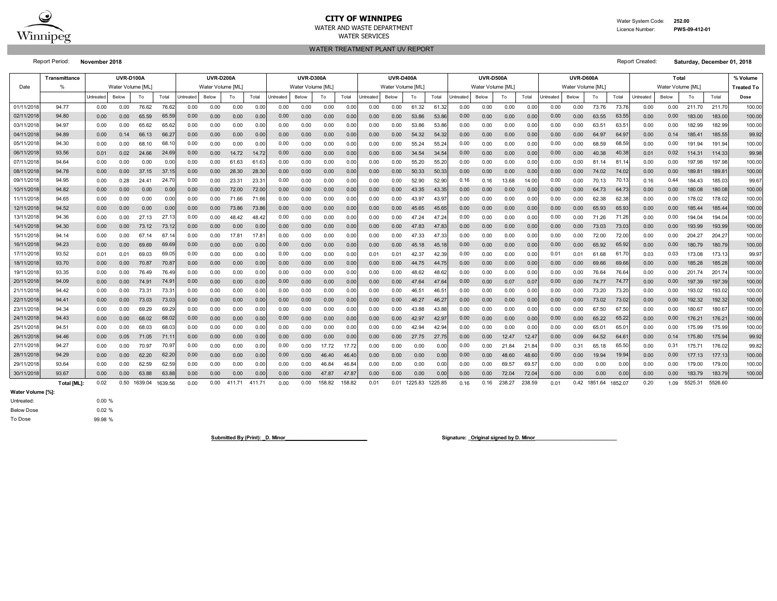

# **CITY OF WINNIPEG**

WATER AND WASTE DEPARTMENTWATER SERVICES

WATER TREATMENT PLANT UV REPORT

 Water System Code: **252.00** Licence Number:**PWS-09-412-01**

Report Period: **November 2018** Report Created: **Saturday, December 01, 2018**

|                        | <b>Transmittance</b> |              | <b>UVR-D100A</b>  |                         |              |                   | UVR-D200A         |              |             | <b>UVR-D300A</b> |                   |              |              |              | <b>UVR-D400A</b>  |                |               |              | <b>UVR-D500A</b>  |              |              |              | UVR-D600A         |                      |              |              | % Volume                   |                  |                  |                   |
|------------------------|----------------------|--------------|-------------------|-------------------------|--------------|-------------------|-------------------|--------------|-------------|------------------|-------------------|--------------|--------------|--------------|-------------------|----------------|---------------|--------------|-------------------|--------------|--------------|--------------|-------------------|----------------------|--------------|--------------|----------------------------|------------------|------------------|-------------------|
| Date                   | $\frac{0}{\epsilon}$ |              | Water Volume [ML] |                         |              |                   | Water Volume [ML] |              |             |                  | Water Volume [ML] |              |              |              | Water Volume [ML] |                |               |              | Water Volume [ML] |              |              |              | Water Volume [ML] |                      |              |              | Total<br>Water Volume [ML] |                  |                  | <b>Treated To</b> |
|                        |                      | Untreated    | Below             | To                      | Total        | Untreated         | Below             | To           | Total       | Untreated        | Below             | To           | Total        | Untreated    | Below             | To             | Total         | Untreated    | Below             | To           | Total        | Untreated    | Below             | To                   | Total        | Untreated    | Below                      | To               | Total            | Dose              |
| 01/11/201              | 94.77                | 0.00         | 0.00              | 76.62                   | 76.6         | 0.00              | 0.00              | 0.00         | 0.00        | 0.00             | 0.00              | 0.00         | 0.00         | 0.00         | 0.00              | 61.32          | 61.32         | 0.00         | 0.00              | 0.00         | 0.00         | 0.00         | 0.00              | 73.76                | 73.76        | 0.00         | 0.00                       | 211.70           | 211.70           | 100.00            |
| 02/11/201              | 94.80                | 0.00         | 0.00              | 65.59                   | 65.5         | 0.00              | 0.00              | 0.00         | 0.00        | 0.00             | 0.00              | 0.00         | 0.00         | 0.00         | 0.00              | 53.86          | 53.86         | 0.00         | 0.00              | 0.00         | 0.00         | 0.00         | 0.00              | 63.55                | 63.5         | 0.00         | 0.00                       | 183.00           | 183.00           | 100.00            |
| 03/11/201              | 94.97                | 0.00         | 0.00              | 65.62                   | 65.6         | 0.00              | 0.00              | 0.00         | 0.0         | 0.00             | 0.00              | 0.00         | 0.00         | 0.00         | 0.00              | 53.86          | 53.86         | 0.00         | 0.00              | 0.00         | 0.00         | 0.00         | 0.00              | 63.51                | 63.5         | 0.00         | 0.00                       | 182.99           | 182.99           | 100.00            |
| 04/11/201              | 94.89                | 0.00         | 0.14              | 66.13                   | 66.2         | 0.00              | 0.00              | 0.00         | 0.0         | 0.00             | 0.00              | 0.00         | 0.00         | 0.00         | 0.00              | 54.32          | 54.32         | 0.00         | 0.00              | 0.00         | 0.00         | 0.00         | 0.00              | 64.97                | 64.9         | 0.00         | 0.14                       | 185.41           | 185.55           | 99.92             |
| 05/11/201              | 94.30                | 0.00         | 0.00              | 68.10                   | 68.          | 0.00              | 0.00              | 0.00         | 0.0         | 0.00             | 0.00              | 0.00         | 0.00         | 0.00         | 0.00              | 55.24          | 55.24         | 0.00         | 0.00              | 0.00         | 0.00         | 0.00         | 0.00              | 68.59                | 68.5         | 0.00         | 0.00                       | 191.94           | 191.94           | 100.00            |
| 06/11/201              | 93.56                | 0.01         | 0.02              | 24.66                   | 24.6         | 0.00              | 0.00              | 14.72        | 14.7        | 0.00             | 0.00              | 0.00         | 0.00         | 0.00         | 0.00              | 34.54          | 34.54         | 0.00         | 0.00              | 0.00         | 0.00         | 0.00         | 0.00              | 40.38                | 40.3         | 0.01         | 0.02                       | 114.31           | 114.33           | 99.98             |
| 07/11/201              | 94.64                | 0.00         | 0.00              | 0.00                    | 0.0          | 0.00              | 0.00              | 61.63        | 61.6        | 0.00             | 0.00              | 0.00         | 0.00         | 0.00         | 0.00              | 55.20          | 55.20         | 0.00         | 0.00              | 0.00         | 0.00         | 0.00         | 0.00              | 81<br>14             | 81.1         | 0.00         | 0.00                       | 197.98           | 197.98           | 100.00            |
| 08/11/201              | 94.78                | 0.00         | 0.00              | 37.15                   | 37.1         | 0.00              | 0.00              | 28.30        | 28.3        | 0.00             | 0.00              | 0.00         | 0.00         | 0.00         | 0.00              | 50.33          | 50.33         | 0.00         | 0.00              | 0.00         | 0.00         | 0.00         | 0.00              | 74.02                | 74.02        | 0.00         | 0.00                       | 189.81           | 189.8            | 100.00            |
| 09/11/201              | 94.95                | 0.00         | 0.28              | 24.4                    | 24.7         | 0.00              | 0.00              | 23.31        | 23.3        | 0.00             | 0.00              | 0.00         | 0.00         | 0.00         | 0.00              | 52.90          | 52.90         | 0.16         | 0.16              | 13.68        | 14.00        | 0.00         | 0.00              | 70.13                | 70.1         | 0.16         | 0.44                       | 184.43           | 185.0            | 99.67             |
| 10/11/201              | 94.82                | 0.00         | 0.00              | 0.00                    | 0.0          | 0.00              | 0.00              | 72.00        | 72.0        | 0.00             | 0.00              | 0.00         | 0.00         | 0.00         | 0.00              | 43.35          | 43.35         | $0.00\,$     | 0.00              | 0.00         | 0.00         | 0.00         | 0.00              | 64.73                | 64.7         | 0.00         | 0.00                       | 180.08           | 180.08           | 100.00            |
| 11/11/201              | 94.65                | 0.00         | 0.00              | 0.00                    | 0.00         | 0.00              | 0.00              | .66          | 71.6        | 0.00             | 0.00              | 0.00         | 0.00         | 0.00         | 0.00              | 43.97          | 43.97         | 0.00         | 0.00              | 0.00         | 0.00         | 0.00         | 0.00              | 62.38                | 62.3         | 0.00         | 0.00                       | 178.02           | 178.02           | 100.00            |
| 12/11/201              | 94.52                | 0.00         | 0.00              | 0.00                    | 0.0          | 0.00              | 0.00              | 73.86        | 73.8        | 0.00             | 0.00              | 0.00         | 0.00         | 0.00         | 0.00              | 45.65          | 45.65         | 0.00         | 0.00              | 0.00         | 0.00         | 0.00         | 0.00              | 65.93                | 65.9         | 0.00         | 0.00                       | 185.44           | 185.44           | 100.00            |
| 13/11/201              | 94.36                | 0.00         | 0.00              | 27.13                   | 27.7         | 0.00              | 0.00              | 48.42        | 48.4        | 0.00             | 0.00              | 0.00         | 0.00         | 0.00         | 0.00              | 47.24          | 47.2          | 0.00         | 0.00              | 0.00         | 0.00         | 0.00         | 0.00              | 71.26                | 71.2         | 0.00         | 0.00                       | 194.04           | 194.0            | 100.00            |
| 14/11/201              | 94.30                | 0.00         | 0.00              | 73.12                   | 73.1         | 0.00              | 0.00              | 0.00         | 0.0         | 0.00             | 0.00              | 0.00         | 0.00         | 0.00         | 0.00              | 47.83          | 47.83         | $0.00\,$     | 0.00              | 0.00         | 0.00         | 0.00         | 0.00              | 73.03                | 73.0         | 0.00         | 0.00                       | 193.99           | 193.99           | 100.00            |
| 15/11/201              | 94.14                | 0.00         | 0.00              | 67.14                   | 67.7         | 0.00              | 0.00              | 17.81        | 17.8        | 0.00             | 0.00              | 0.00         | 0.00         | 0.00         | 0.00              | 47.33          | 47.33         | 0.00         | 0.00              | 0.00         | 0.00         | 0.00         | 0.00              | 72.00                | 72.0         | 0.00         | 0.00                       | 204.27           | 204.27           | 100.00            |
| 16/11/201              | 94.23                | 0.00         | 0.00              | 69.69                   | 69.6         | 0.00              | 0.00              | 0.00         | 0.00        | 0.00             | 0.00              | 0.00         | 0.00         | 0.00         | 0.00              | 45.18          | 45.18         | 0.00         | 0.00              | 0.00         | 0.00         | 0.00         | 0.00              | 65.92                | 65.92        | 0.00         | 0.00                       | 180.79           | 180.79           | 100.00            |
| 17/11/201              | 93.52                | 0.01         | 0.01              | 69.03                   | 69.0         | 0.00              | 0.00              | 0.00         | 0.0         | 0.00             | 0.00              | 0.00         | 0.00         | 0.01         | 0.01              | 42.37          | 42.39         | 0.00         | 0.00              | 0.00         | 0.00         | 0.01         | 0.01              | 61.68                | 61.7         | 0.03         | 0.03                       | 173.08           | 173.13           | 99.97             |
| 18/11/201              | 93.70                | 0.00         | 0.00              | 70.87                   | 70.8         | 0.00              | 0.00              | 0.00         | 0.00        | 0.00             | 0.00              | 0.00         | 0.00         | 0.00         | 0.00              | 44.75          | 44.7          | 0.00         | 0.00              | 0.00         | 0.00         | 0.00         | 0.00              | 69.66                | 69.6         | 0.00         | 0.00                       | 185.28           | 185.28           | 100.00            |
| 19/11/201              | 93.35                | 0.00         | 0.00              | 76.49                   | 76.4         | 0.00              | 0.00              | 0.00         | 0.00        | 0.00             | 0.00              | 0.00         | 0.00         | 0.00         | 0.00              | 48.62          | 48.62         | 0.00         | 0.00              | 0.00         | 0.00         | 0.00         | 0.00              | 76.64                | 76.64        | 0.00         | 0.00                       | 201.74           | 201.74           | 100.00            |
| 20/11/201              | 94.09                | 0.00         | 0.00              | 74.9                    | 74.9         | 0.00              | 0.00              | 0.00         | 0.0(        | 0.00             | 0.00              | 0.00         | 0.00         | 0.00         | 0.00              | 47.64          | 47.6          | 0.00         | 0.00              | 0.07         | 0.07         | 0.00         | 0.00              | 74.77                | 74.7         | 0.00         | 0.00                       | 197.39           | 197.39           | 100.00            |
| 21/11/201<br>22/11/201 | 94.42<br>94.41       | 0.00         | 0.00<br>0.00      | $73.3^{\circ}$<br>73.03 | 73.3<br>73.0 | 0.00<br>0.00      | 0.00<br>0.00      | 0.00<br>0.00 | 0.0<br>0.0( | 0.00<br>0.00     | 0.00<br>0.00      | 0.00<br>0.00 | 0.00<br>0.00 | 0.00<br>0.00 | 0.00<br>0.00      | 46.51<br>46.27 | 46.5<br>46.27 | 0.00<br>0.00 | 0.00<br>0.00      | 0.00<br>0.00 | 0.00         | 0.00<br>0.00 | 0.00<br>0.00      | 73.20                | 73.2<br>73.0 | 0.00         | 0.00<br>0.00               | 193.02<br>192.32 | 193.02<br>192.32 | 100.00<br>100.00  |
| 23/11/201              | 94.34                | 0.00         | 0.00              | 69.29                   | 69.2         | 0.00              |                   | 0.00         |             | 0.00             | 0.00              | 0.00         |              | 0.00         | 0.00              |                |               | 0.00         | 0.00              | 0.00         | 0.00         | 0.00         |                   | 73.02                |              | 0.00<br>0.00 | 0.00                       | 180.67           | 180.6            | 100.00            |
| 24/11/201              | 94.43                | 0.00<br>0.00 | 0.00              | 68.02                   | 68.0         | 0.00              | 0.00<br>0.00      | 0.00         | 0.0<br>0.0  | 0.00             | 0.00              | 0.00         | 0.00<br>0.00 | 0.00         | 0.00              | 43.88<br>42.97 | 43.88<br>42.9 | 0.00         | 0.00              | 0.00         | 0.00<br>0.00 | 0.00         | 0.00<br>0.00      | 67.50<br>65.22       | 67.5<br>65.2 | 0.00         | 0.00                       | 176.21           | 176.2            | 100.00            |
| 25/11/201              | 94.51                | 0.00         | 0.00              | 68.03                   | 68.0         | 0.00              | 0.00              | 0.00         | 0.0         | 0.00             | 0.00              | 0.00         | 0.00         | 0.00         | 0.00              | 42.94          | 42.94         | 0.00         | 0.00              | 0.00         | 0.00         | 0.00         | 0.00              | 65.01                | 65.0         | 0.00         | 0.00                       | 175.99           | 175.99           | 100.00            |
| 26/11/201              | 94.46                | 0.00         | 0.05              | 71.05                   | 71.1         | 0.00 <sub>1</sub> | 0.00              | 0.00         | 0.00        | 0.00             | 0.00              | 0.00         | 0.00         | 0.00         | 0.00              | 27.75          | 27.75         | 0.00         | 0.00              | 12.47        | 12.47        | 0.00         | 0.09              | 64.52                | 64.6         | 0.00         | 0.14                       | 175.80           | 175.94           | 99.92             |
| 27/11/201              | 94.27                | 0.00         | 0.00              | 70.97                   | 70.9         | 0.00              | 0.00              | 0.00         | 0.0         | 0.00             | 0.00              | 17.72        | 17.72        | 0.00         | 0.00              | 0.00           | 0.00          | 0.00         | 0.00              | 21.84        | 21.84        | 0.00         | 0.31              | 65.18                | 65.5         | 0.00         | 0.31                       | 175.71           | 176.0            | 99.82             |
| 28/11/201              | 94.29                | 0.00         | 0.00              | 62.20                   | 62.2         | 0.00              | 0.00              | 0.00         | 0.00        | 0.00             | 0.00              | 46.40        | 46.40        | 0.00         | 0.00              | 0.00           | 0.00          | 0.00         | 0.00              | 48.60        | 48.60        | 0.00         | 0.00              | 19.94                | 19.94        | 0.00         | 0.00                       | 177.13           | 177.13           | 100.00            |
| 29/11/201              | 93.64                | 0.00         | 0.00              | 62.59                   | 62.5         | 0.00              | 0.00              | 0.00         | 0.00        | 0.00             | 0.00              |              | 46.84        | 0.00         | 0.00              | 0.00           | 0.00          | 0.00         | 0.00              | 69.57        | 69.57        | 0.00         | 0.00              | 0.00                 | 0.00         | 0.00         | 0.00                       | 179.00           | 179.00           | 100.00            |
| 30/11/201              | 93.67                | 0.00         | 0.00              | 63.88                   | 63.8         | 0.00              | 0.00              | 0.00         | 0.0         | 0.00             | 0.00              | 47.87        | 47.8         | 0.00         | 0.00              | 0.00           | 0.00          | 0.00         | 0.00              | 72.04        | 72.04        | 0.00         | 0.00              | 0.00                 | 0.01         | 0.00         | 0.00                       | 183.79           | 183.79           | 100.00            |
|                        | Total [ML]:          | 0.02         |                   | 0.50 1639.04            | 1639.56      | 0.00              | 0.00              | 411.71       | 411.71      | 0.00             | 0.00              | 158.82       | 158.82       | 0.01         | 0.01              | 1225.83        | 1225.85       | 0.16         | 0.16              | 238.27       | 238.59       | 0.01         |                   | 0.42 1851.64 1852.07 |              | 0.20         | 1.09                       | 5525.31          | 5526.60          |                   |
| Water Volume [%]:      |                      |              |                   |                         |              |                   |                   |              |             |                  |                   |              |              |              |                   |                |               |              |                   |              |              |              |                   |                      |              |              |                            |                  |                  |                   |

**Water Volume [%]:**

## Untreated:

Below Dose

0.00 % 0.02 % 99.98 %

To Dose

Submitted By (Print): D. Minor **Community and Community Community Community Community Community Community Community**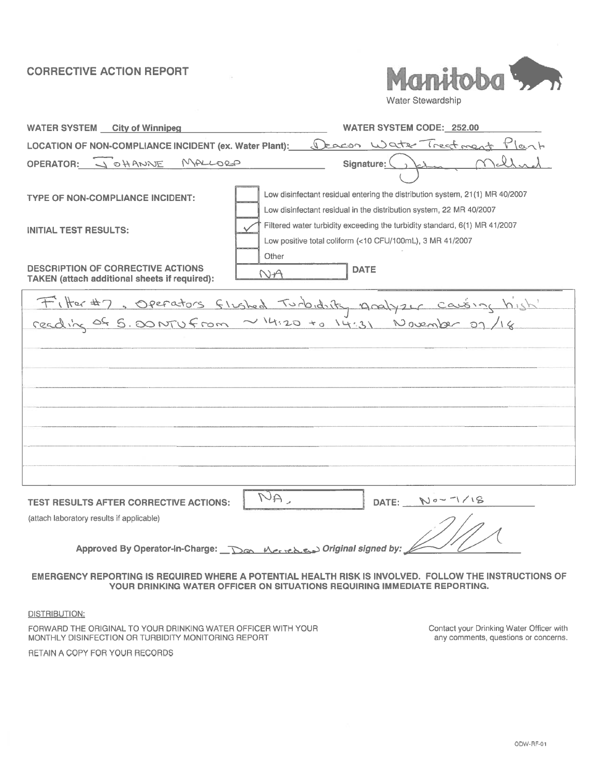# CORRECTIVE ACTION REPORT



Water Stewardship

| <b>WATER SYSTEM City of Winnipeg</b>                                                             | <b>WATER SYSTEM CODE: 252.00</b>                                                                                                                                                                                                                                                                        |
|--------------------------------------------------------------------------------------------------|---------------------------------------------------------------------------------------------------------------------------------------------------------------------------------------------------------------------------------------------------------------------------------------------------------|
| LOCATION OF NON-COMPLIANCE INCIDENT (ex. Water Plant):                                           | leacon Water Treatment Plant<br>$\sqrt{2}$                                                                                                                                                                                                                                                              |
| OPERATOR: JOHANNE<br>MALLORA                                                                     | Signature:                                                                                                                                                                                                                                                                                              |
| <b>TYPE OF NON-COMPLIANCE INCIDENT:</b><br><b>INITIAL TEST RESULTS:</b>                          | Low disinfectant residual entering the distribution system, 21(1) MR 40/2007<br>Low disinfectant residual in the distribution system, 22 MR 40/2007<br>Filtered water turbidity exceeding the turbidity standard, 6(1) MR 41/2007<br>Low positive total coliform (<10 CFU/100mL), 3 MR 41/2007<br>Other |
| <b>DESCRIPTION OF CORRECTIVE ACTIONS</b><br><b>TAKEN</b> (attach additional sheets if required): | <b>DATE</b><br>$N-A$                                                                                                                                                                                                                                                                                    |
|                                                                                                  | Filter#7, Operators flushed Turbidity Analyzer causing high'<br>reading of 5.00 NTU from ~14:20 +0 14:31 November 07/18                                                                                                                                                                                 |
|                                                                                                  |                                                                                                                                                                                                                                                                                                         |
| <b>TEST RESULTS AFTER CORRECTIVE ACTIONS:</b><br>(attach laboratory results if applicable)       | $\overline{\mathcal{N}}$ A<br>$N0 - 7/18$<br>DATE:                                                                                                                                                                                                                                                      |
|                                                                                                  | EMERGENCY REPORTING IS REQUIRED WHERE A POTENTIAL HEALTH RISK IS INVOLVED.  FOLLOW THE INSTRUCTIONS OF<br>YOUR DRINKING WATER OFFICER ON SITUATIONS REQUIRING IMMEDIATE REPORTING.                                                                                                                      |
| DISTRIBUTION:                                                                                    |                                                                                                                                                                                                                                                                                                         |

FORWARD THE ORIGINAL TO YOUR DRINKING WATER OFFICER WITH YOUR MONTHLY DISINFECTION OR TURBIDITY MONITORING REPORT

RETAIN A COPY FOR YOUR RECORDS

Contact your Drinking Water Officer with any comments, questions or concerns.